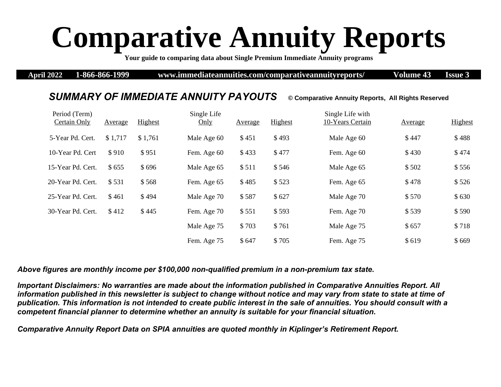## **Comparative Annuity Reports**

**Your guide to comparing data about Single Premium Immediate Annuity programs** 

**April 2022 1-866-866-1999 www.immediateannuities.com/comparativeannuityreports/ Volume 43 Issue 3**

## *SUMMARY OF IMMEDIATE ANNUITY PAYOUTS* **© Comparative Annuity Reports, All Rights Reserved**

## Period (Term) Certain Only Average Highest Single Life Only Average Highest Single Life with 10-Years Certain Average Highest 5-Year Pd. Cert. \$1,717 \$1,761 Male Age 60 \$ 451 \$ 493 Male Age 60 \$ 447 \$ 488 10-Year Pd. Cert \$910 \$951 Fem. Age 60 \$433 \$477 Fem. Age 60 \$430 \$474 15-Year Pd. Cert. \$ 655 \$ 696 Male Age 65 \$ 511 \$ 546 Male Age 65 \$ 502 \$ 556 20-Year Pd. Cert.  $$531$   $$568$  Fem. Age 65  $$485$   $$523$  Fem. Age 65  $$478$   $$526$ 25-Year Pd. Cert. \$ 461 \$ 494 Male Age 70 \$ 587 \$ 627 Male Age 70 \$ 570 \$ 630 30-Year Pd. Cert. \$ 412 \$ 445 Fem. Age 70 \$ 551 \$ 593 Fem. Age 70 \$ 539 \$ 590 Male Age 75 \$ 703 \$ 761 Male Age 75 \$ 657 \$ 718 Fem. Age 75 \$ 647 \$ 705 Fem. Age 75 \$ 619 \$ 669

*Above figures are monthly income per \$100,000 non-qualified premium in a non-premium tax state.* 

*Important Disclaimers: No warranties are made about the information published in Comparative Annuities Report. All information published in this newsletter is subject to change without notice and may vary from state to state at time of publication. This information is not intended to create public interest in the sale of annuities. You should consult with a competent financial planner to determine whether an annuity is suitable for your financial situation.* 

*Comparative Annuity Report Data on SPIA annuities are quoted monthly in Kiplinger's Retirement Report.*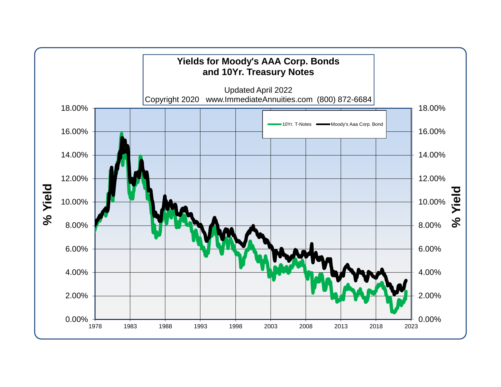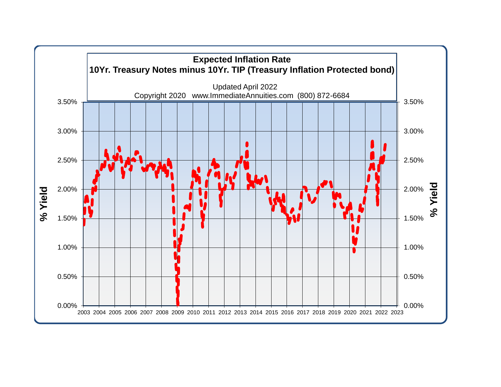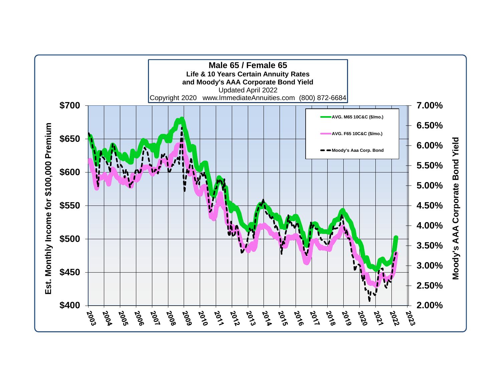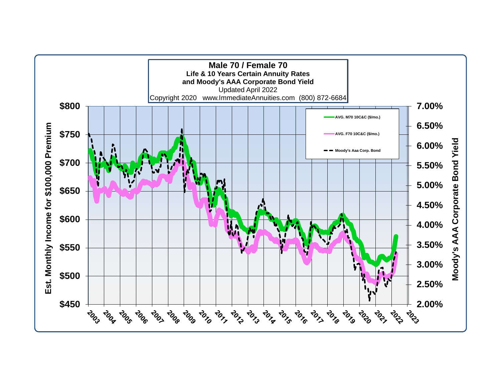